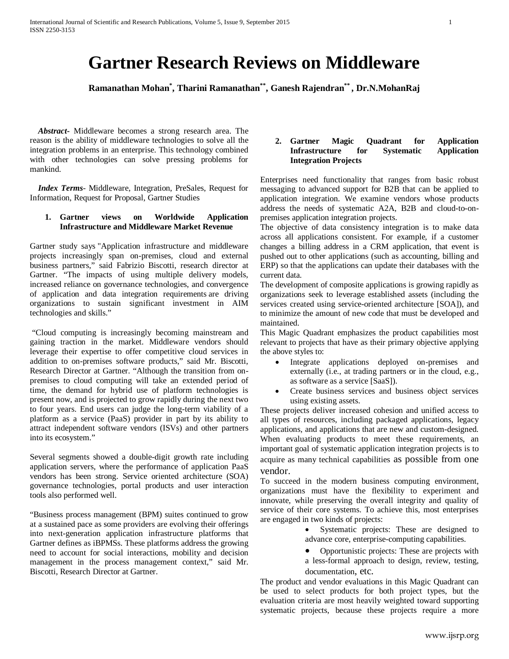# **Gartner Research Reviews on Middleware**

**Ramanathan Mohan\* , Tharini Ramanathan\*\*, Ganesh Rajendran\*\* , Dr.N.MohanRaj**

 *Abstract***-** Middleware becomes a strong research area. The reason is the ability of middleware technologies to solve all the integration problems in an enterprise. This technology combined with other technologies can solve pressing problems for mankind.

 *Index Terms*- Middleware, Integration, PreSales, Request for Information, Request for Proposal, Gartner Studies

# **1. Gartner views on Worldwide Application Infrastructure and Middleware Market Revenue**

Gartner study says "Application infrastructure and middleware projects increasingly span on-premises, cloud and external business partners," said Fabrizio Biscotti, research director at Gartner. "The impacts of using multiple delivery models, increased reliance on governance technologies, and convergence of application and data integration requirements are driving organizations to sustain significant investment in AIM technologies and skills."

"Cloud computing is increasingly becoming mainstream and gaining traction in the market. Middleware vendors should leverage their expertise to offer competitive cloud services in addition to on-premises software products," said Mr. Biscotti, Research Director at Gartner. "Although the transition from onpremises to cloud computing will take an extended period of time, the demand for hybrid use of platform technologies is present now, and is projected to grow rapidly during the next two to four years. End users can judge the long-term viability of a platform as a service (PaaS) provider in part by its ability to attract independent software vendors (ISVs) and other partners into its ecosystem."

Several segments showed a double-digit growth rate including application servers, where the performance of application PaaS vendors has been strong. Service oriented architecture (SOA) governance technologies, portal products and user interaction tools also performed well.

"Business process management (BPM) suites continued to grow at a sustained pace as some providers are evolving their offerings into next-generation application infrastructure platforms that Gartner defines as iBPMSs. These platforms address the growing need to account for social interactions, mobility and decision management in the process management context," said Mr. Biscotti, Research Director at Gartner.

## **2. Gartner Magic Quadrant for Application Infrastructure for Systematic Application Integration Projects**

Enterprises need functionality that ranges from basic robust messaging to advanced support for B2B that can be applied to application integration. We examine vendors whose products address the needs of systematic A2A, B2B and cloud-to-onpremises application integration projects.

The objective of data consistency integration is to make data across all applications consistent. For example, if a customer changes a billing address in a CRM application, that event is pushed out to other applications (such as accounting, billing and ERP) so that the applications can update their databases with the current data.

The development of composite applications is growing rapidly as organizations seek to leverage established assets (including the services created using service-oriented architecture [SOA]), and to minimize the amount of new code that must be developed and maintained.

This Magic Quadrant emphasizes the product capabilities most relevant to projects that have as their primary objective applying the above styles to:

- Integrate applications deployed on-premises and externally (i.e., at trading partners or in the cloud, e.g., as software as a service [SaaS]).
- Create business services and business object services using existing assets.

These projects deliver increased cohesion and unified access to all types of resources, including packaged applications, legacy applications, and applications that are new and custom-designed. When evaluating products to meet these requirements, an important goal of systematic application integration projects is to acquire as many technical capabilities as possible from one vendor.

To succeed in the modern business computing environment, organizations must have the flexibility to experiment and innovate, while preserving the overall integrity and quality of service of their core systems. To achieve this, most enterprises are engaged in two kinds of projects:

- Systematic projects: These are designed to advance core, enterprise-computing capabilities.
- Opportunistic projects: These are projects with a less-formal approach to design, review, testing, documentation, etc.

The product and vendor evaluations in this Magic Quadrant can be used to select products for both project types, but the evaluation criteria are most heavily weighted toward supporting systematic projects, because these projects require a more